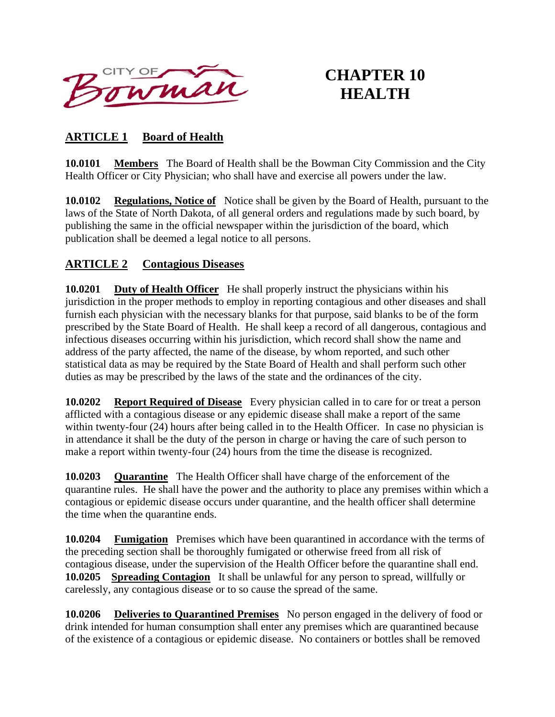

# **CHAPTER 10 HEALTH**

# **ARTICLE 1 Board of Health**

**10.0101 Members** The Board of Health shall be the Bowman City Commission and the City Health Officer or City Physician; who shall have and exercise all powers under the law.

**10.0102 Regulations, Notice of** Notice shall be given by the Board of Health, pursuant to the laws of the State of North Dakota, of all general orders and regulations made by such board, by publishing the same in the official newspaper within the jurisdiction of the board, which publication shall be deemed a legal notice to all persons.

# **ARTICLE 2 Contagious Diseases**

**10.0201 Duty of Health Officer** He shall properly instruct the physicians within his jurisdiction in the proper methods to employ in reporting contagious and other diseases and shall furnish each physician with the necessary blanks for that purpose, said blanks to be of the form prescribed by the State Board of Health. He shall keep a record of all dangerous, contagious and infectious diseases occurring within his jurisdiction, which record shall show the name and address of the party affected, the name of the disease, by whom reported, and such other statistical data as may be required by the State Board of Health and shall perform such other duties as may be prescribed by the laws of the state and the ordinances of the city.

**10.0202 Report Required of Disease** Every physician called in to care for or treat a person afflicted with a contagious disease or any epidemic disease shall make a report of the same within twenty-four (24) hours after being called in to the Health Officer. In case no physician is in attendance it shall be the duty of the person in charge or having the care of such person to make a report within twenty-four (24) hours from the time the disease is recognized.

**10.0203 Quarantine** The Health Officer shall have charge of the enforcement of the quarantine rules. He shall have the power and the authority to place any premises within which a contagious or epidemic disease occurs under quarantine, and the health officer shall determine the time when the quarantine ends.

**10.0204 Fumigation** Premises which have been quarantined in accordance with the terms of the preceding section shall be thoroughly fumigated or otherwise freed from all risk of contagious disease, under the supervision of the Health Officer before the quarantine shall end. **10.0205 Spreading Contagion** It shall be unlawful for any person to spread, willfully or carelessly, any contagious disease or to so cause the spread of the same.

**10.0206 Deliveries to Quarantined Premises** No person engaged in the delivery of food or drink intended for human consumption shall enter any premises which are quarantined because of the existence of a contagious or epidemic disease. No containers or bottles shall be removed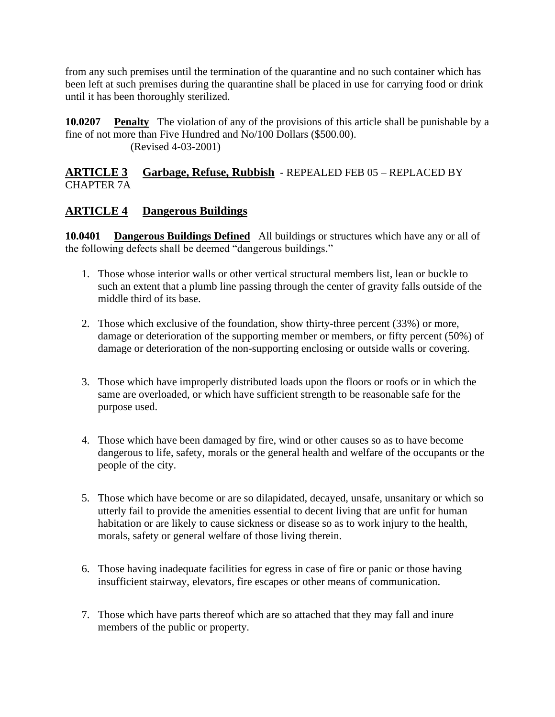from any such premises until the termination of the quarantine and no such container which has been left at such premises during the quarantine shall be placed in use for carrying food or drink until it has been thoroughly sterilized.

**10.0207** Penalty The violation of any of the provisions of this article shall be punishable by a fine of not more than Five Hundred and No/100 Dollars (\$500.00). (Revised 4-03-2001)

## **ARTICLE 3 Garbage, Refuse, Rubbish** - REPEALED FEB 05 – REPLACED BY CHAPTER 7A

# **ARTICLE 4 Dangerous Buildings**

**10.0401 Dangerous Buildings Defined** All buildings or structures which have any or all of the following defects shall be deemed "dangerous buildings."

- 1. Those whose interior walls or other vertical structural members list, lean or buckle to such an extent that a plumb line passing through the center of gravity falls outside of the middle third of its base.
- 2. Those which exclusive of the foundation, show thirty-three percent (33%) or more, damage or deterioration of the supporting member or members, or fifty percent (50%) of damage or deterioration of the non-supporting enclosing or outside walls or covering.
- 3. Those which have improperly distributed loads upon the floors or roofs or in which the same are overloaded, or which have sufficient strength to be reasonable safe for the purpose used.
- 4. Those which have been damaged by fire, wind or other causes so as to have become dangerous to life, safety, morals or the general health and welfare of the occupants or the people of the city.
- 5. Those which have become or are so dilapidated, decayed, unsafe, unsanitary or which so utterly fail to provide the amenities essential to decent living that are unfit for human habitation or are likely to cause sickness or disease so as to work injury to the health, morals, safety or general welfare of those living therein.
- 6. Those having inadequate facilities for egress in case of fire or panic or those having insufficient stairway, elevators, fire escapes or other means of communication.
- 7. Those which have parts thereof which are so attached that they may fall and inure members of the public or property.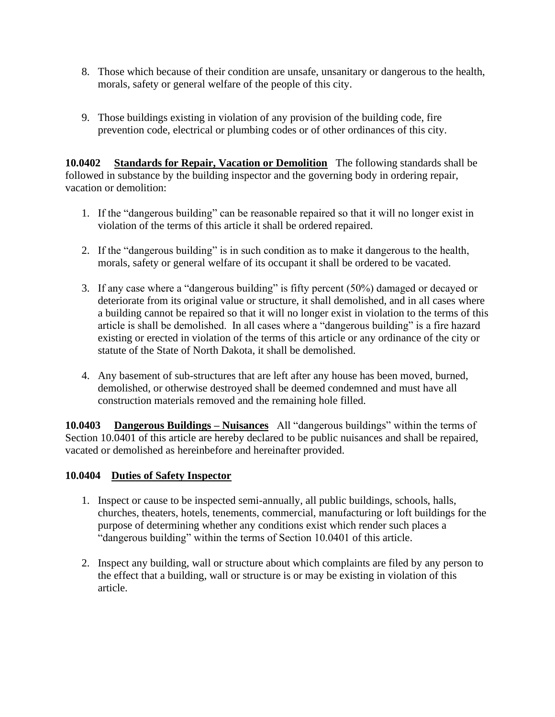- 8. Those which because of their condition are unsafe, unsanitary or dangerous to the health, morals, safety or general welfare of the people of this city.
- 9. Those buildings existing in violation of any provision of the building code, fire prevention code, electrical or plumbing codes or of other ordinances of this city.

**10.0402 Standards for Repair, Vacation or Demolition** The following standards shall be followed in substance by the building inspector and the governing body in ordering repair, vacation or demolition:

- 1. If the "dangerous building" can be reasonable repaired so that it will no longer exist in violation of the terms of this article it shall be ordered repaired.
- 2. If the "dangerous building" is in such condition as to make it dangerous to the health, morals, safety or general welfare of its occupant it shall be ordered to be vacated.
- 3. If any case where a "dangerous building" is fifty percent (50%) damaged or decayed or deteriorate from its original value or structure, it shall demolished, and in all cases where a building cannot be repaired so that it will no longer exist in violation to the terms of this article is shall be demolished. In all cases where a "dangerous building" is a fire hazard existing or erected in violation of the terms of this article or any ordinance of the city or statute of the State of North Dakota, it shall be demolished.
- 4. Any basement of sub-structures that are left after any house has been moved, burned, demolished, or otherwise destroyed shall be deemed condemned and must have all construction materials removed and the remaining hole filled.

**10.0403 Dangerous Buildings – Nuisances** All "dangerous buildings" within the terms of Section 10.0401 of this article are hereby declared to be public nuisances and shall be repaired, vacated or demolished as hereinbefore and hereinafter provided.

#### **10.0404 Duties of Safety Inspector**

- 1. Inspect or cause to be inspected semi-annually, all public buildings, schools, halls, churches, theaters, hotels, tenements, commercial, manufacturing or loft buildings for the purpose of determining whether any conditions exist which render such places a "dangerous building" within the terms of Section 10.0401 of this article.
- 2. Inspect any building, wall or structure about which complaints are filed by any person to the effect that a building, wall or structure is or may be existing in violation of this article.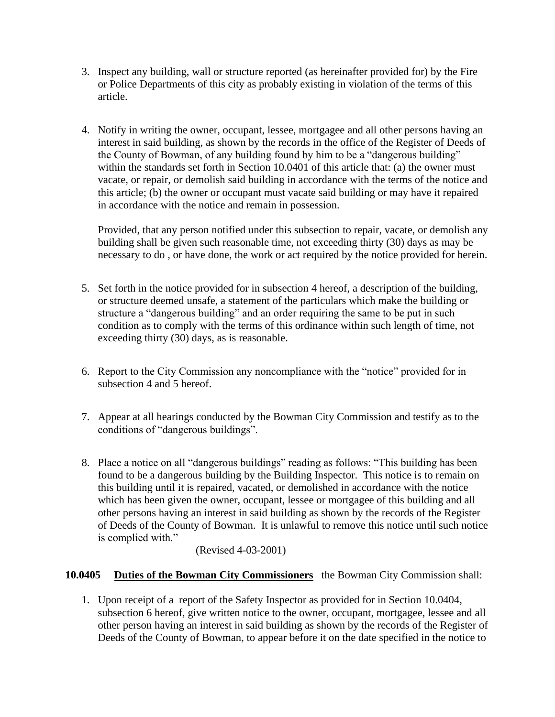- 3. Inspect any building, wall or structure reported (as hereinafter provided for) by the Fire or Police Departments of this city as probably existing in violation of the terms of this article.
- 4. Notify in writing the owner, occupant, lessee, mortgagee and all other persons having an interest in said building, as shown by the records in the office of the Register of Deeds of the County of Bowman, of any building found by him to be a "dangerous building" within the standards set forth in Section 10.0401 of this article that: (a) the owner must vacate, or repair, or demolish said building in accordance with the terms of the notice and this article; (b) the owner or occupant must vacate said building or may have it repaired in accordance with the notice and remain in possession.

Provided, that any person notified under this subsection to repair, vacate, or demolish any building shall be given such reasonable time, not exceeding thirty (30) days as may be necessary to do , or have done, the work or act required by the notice provided for herein.

- 5. Set forth in the notice provided for in subsection 4 hereof, a description of the building, or structure deemed unsafe, a statement of the particulars which make the building or structure a "dangerous building" and an order requiring the same to be put in such condition as to comply with the terms of this ordinance within such length of time, not exceeding thirty (30) days, as is reasonable.
- 6. Report to the City Commission any noncompliance with the "notice" provided for in subsection 4 and 5 hereof.
- 7. Appear at all hearings conducted by the Bowman City Commission and testify as to the conditions of "dangerous buildings".
- 8. Place a notice on all "dangerous buildings" reading as follows: "This building has been found to be a dangerous building by the Building Inspector. This notice is to remain on this building until it is repaired, vacated, or demolished in accordance with the notice which has been given the owner, occupant, lessee or mortgagee of this building and all other persons having an interest in said building as shown by the records of the Register of Deeds of the County of Bowman. It is unlawful to remove this notice until such notice is complied with."

#### (Revised 4-03-2001)

#### **10.0405 Duties of the Bowman City Commissioners** the Bowman City Commission shall:

1. Upon receipt of a report of the Safety Inspector as provided for in Section 10.0404, subsection 6 hereof, give written notice to the owner, occupant, mortgagee, lessee and all other person having an interest in said building as shown by the records of the Register of Deeds of the County of Bowman, to appear before it on the date specified in the notice to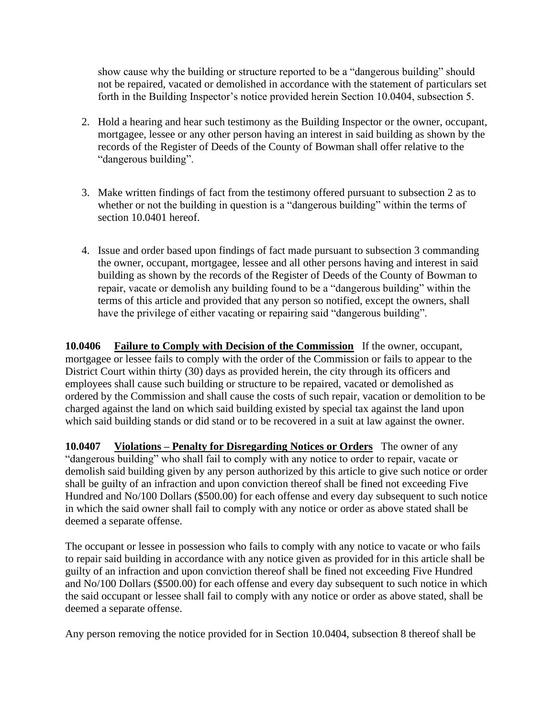show cause why the building or structure reported to be a "dangerous building" should not be repaired, vacated or demolished in accordance with the statement of particulars set forth in the Building Inspector's notice provided herein Section 10.0404, subsection 5.

- 2. Hold a hearing and hear such testimony as the Building Inspector or the owner, occupant, mortgagee, lessee or any other person having an interest in said building as shown by the records of the Register of Deeds of the County of Bowman shall offer relative to the "dangerous building".
- 3. Make written findings of fact from the testimony offered pursuant to subsection 2 as to whether or not the building in question is a "dangerous building" within the terms of section 10.0401 hereof.
- 4. Issue and order based upon findings of fact made pursuant to subsection 3 commanding the owner, occupant, mortgagee, lessee and all other persons having and interest in said building as shown by the records of the Register of Deeds of the County of Bowman to repair, vacate or demolish any building found to be a "dangerous building" within the terms of this article and provided that any person so notified, except the owners, shall have the privilege of either vacating or repairing said "dangerous building".

**10.0406 Failure to Comply with Decision of the Commission** If the owner, occupant, mortgagee or lessee fails to comply with the order of the Commission or fails to appear to the District Court within thirty (30) days as provided herein, the city through its officers and employees shall cause such building or structure to be repaired, vacated or demolished as ordered by the Commission and shall cause the costs of such repair, vacation or demolition to be charged against the land on which said building existed by special tax against the land upon which said building stands or did stand or to be recovered in a suit at law against the owner.

**10.0407 Violations – Penalty for Disregarding Notices or Orders** The owner of any "dangerous building" who shall fail to comply with any notice to order to repair, vacate or demolish said building given by any person authorized by this article to give such notice or order shall be guilty of an infraction and upon conviction thereof shall be fined not exceeding Five Hundred and No/100 Dollars (\$500.00) for each offense and every day subsequent to such notice in which the said owner shall fail to comply with any notice or order as above stated shall be deemed a separate offense.

The occupant or lessee in possession who fails to comply with any notice to vacate or who fails to repair said building in accordance with any notice given as provided for in this article shall be guilty of an infraction and upon conviction thereof shall be fined not exceeding Five Hundred and No/100 Dollars (\$500.00) for each offense and every day subsequent to such notice in which the said occupant or lessee shall fail to comply with any notice or order as above stated, shall be deemed a separate offense.

Any person removing the notice provided for in Section 10.0404, subsection 8 thereof shall be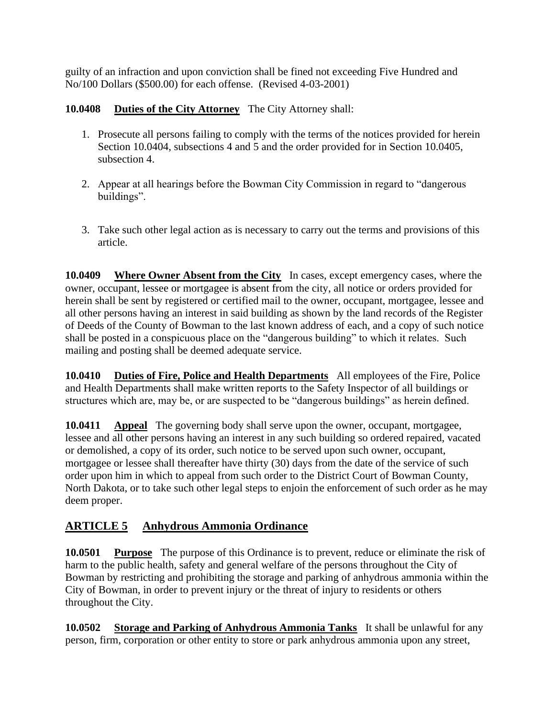guilty of an infraction and upon conviction shall be fined not exceeding Five Hundred and No/100 Dollars (\$500.00) for each offense. (Revised 4-03-2001)

# **10.0408 Duties of the City Attorney** The City Attorney shall:

- 1. Prosecute all persons failing to comply with the terms of the notices provided for herein Section 10.0404, subsections 4 and 5 and the order provided for in Section 10.0405, subsection 4.
- 2. Appear at all hearings before the Bowman City Commission in regard to "dangerous buildings".
- 3. Take such other legal action as is necessary to carry out the terms and provisions of this article.

**10.0409 Where Owner Absent from the City** In cases, except emergency cases, where the owner, occupant, lessee or mortgagee is absent from the city, all notice or orders provided for herein shall be sent by registered or certified mail to the owner, occupant, mortgagee, lessee and all other persons having an interest in said building as shown by the land records of the Register of Deeds of the County of Bowman to the last known address of each, and a copy of such notice shall be posted in a conspicuous place on the "dangerous building" to which it relates. Such mailing and posting shall be deemed adequate service.

**10.0410 Duties of Fire, Police and Health Departments** All employees of the Fire, Police and Health Departments shall make written reports to the Safety Inspector of all buildings or structures which are, may be, or are suspected to be "dangerous buildings" as herein defined.

**10.0411 Appeal** The governing body shall serve upon the owner, occupant, mortgagee, lessee and all other persons having an interest in any such building so ordered repaired, vacated or demolished, a copy of its order, such notice to be served upon such owner, occupant, mortgagee or lessee shall thereafter have thirty (30) days from the date of the service of such order upon him in which to appeal from such order to the District Court of Bowman County, North Dakota, or to take such other legal steps to enjoin the enforcement of such order as he may deem proper.

# **ARTICLE 5 Anhydrous Ammonia Ordinance**

**10.0501 Purpose** The purpose of this Ordinance is to prevent, reduce or eliminate the risk of harm to the public health, safety and general welfare of the persons throughout the City of Bowman by restricting and prohibiting the storage and parking of anhydrous ammonia within the City of Bowman, in order to prevent injury or the threat of injury to residents or others throughout the City.

**10.0502 Storage and Parking of Anhydrous Ammonia Tanks** It shall be unlawful for any person, firm, corporation or other entity to store or park anhydrous ammonia upon any street,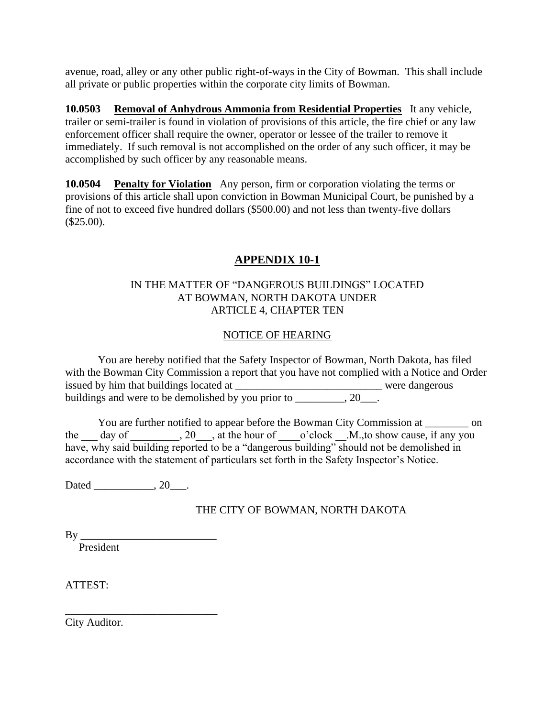avenue, road, alley or any other public right-of-ways in the City of Bowman. This shall include all private or public properties within the corporate city limits of Bowman.

**10.0503 Removal of Anhydrous Ammonia from Residential Properties** It any vehicle, trailer or semi-trailer is found in violation of provisions of this article, the fire chief or any law enforcement officer shall require the owner, operator or lessee of the trailer to remove it immediately. If such removal is not accomplished on the order of any such officer, it may be accomplished by such officer by any reasonable means.

**10.0504 Penalty for Violation** Any person, firm or corporation violating the terms or provisions of this article shall upon conviction in Bowman Municipal Court, be punished by a fine of not to exceed five hundred dollars (\$500.00) and not less than twenty-five dollars  $($25.00).$ 

# **APPENDIX 10-1**

#### IN THE MATTER OF "DANGEROUS BUILDINGS" LOCATED AT BOWMAN, NORTH DAKOTA UNDER ARTICLE 4, CHAPTER TEN

## NOTICE OF HEARING

You are hereby notified that the Safety Inspector of Bowman, North Dakota, has filed with the Bowman City Commission a report that you have not complied with a Notice and Order issued by him that buildings located at \_\_\_\_\_\_\_\_\_\_\_\_\_\_\_\_\_\_\_\_\_\_\_\_\_\_\_ were dangerous buildings and were to be demolished by you prior to \_\_\_\_\_\_\_\_, 20\_\_\_.

You are further notified to appear before the Bowman City Commission at \_\_\_\_\_\_\_\_ on the day of  $\qquad \qquad$ ,  $20$ , at the hour of  $\qquad$  o'clock  $\qquad$ .M.,to show cause, if any you have, why said building reported to be a "dangerous building" should not be demolished in accordance with the statement of particulars set forth in the Safety Inspector's Notice.

Dated \_\_\_\_\_\_\_\_\_\_, 20\_\_\_.

\_\_\_\_\_\_\_\_\_\_\_\_\_\_\_\_\_\_\_\_\_\_\_\_\_\_\_\_

#### THE CITY OF BOWMAN, NORTH DAKOTA

 $By \_\_$ 

President

ATTEST:

City Auditor.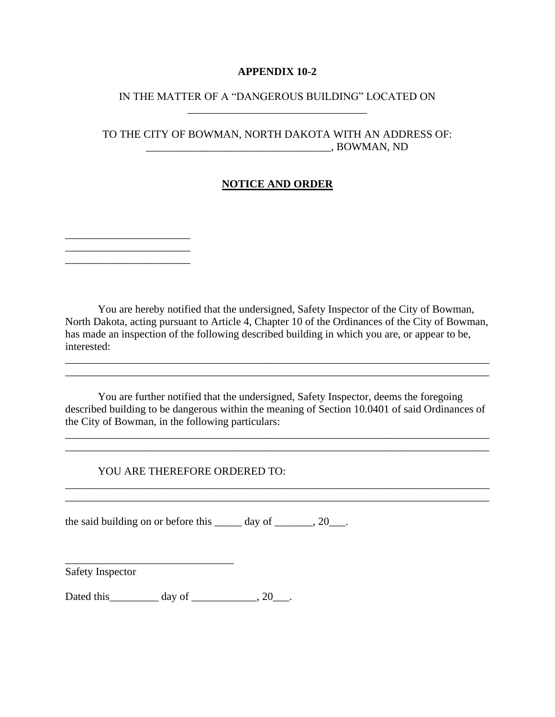#### **APPENDIX 10-2**

#### IN THE MATTER OF A "DANGEROUS BUILDING" LOCATED ON \_\_\_\_\_\_\_\_\_\_\_\_\_\_\_\_\_\_\_\_\_\_\_\_\_\_\_\_\_\_\_\_\_

#### TO THE CITY OF BOWMAN, NORTH DAKOTA WITH AN ADDRESS OF: \_\_\_\_\_\_\_\_\_\_\_\_\_\_\_\_\_\_\_\_\_\_\_\_\_\_\_\_\_\_\_\_\_\_, BOWMAN, ND

#### **NOTICE AND ORDER**

You are hereby notified that the undersigned, Safety Inspector of the City of Bowman, North Dakota, acting pursuant to Article 4, Chapter 10 of the Ordinances of the City of Bowman, has made an inspection of the following described building in which you are, or appear to be, interested:

\_\_\_\_\_\_\_\_\_\_\_\_\_\_\_\_\_\_\_\_\_\_\_\_\_\_\_\_\_\_\_\_\_\_\_\_\_\_\_\_\_\_\_\_\_\_\_\_\_\_\_\_\_\_\_\_\_\_\_\_\_\_\_\_\_\_\_\_\_\_\_\_\_\_\_\_\_\_

You are further notified that the undersigned, Safety Inspector, deems the foregoing described building to be dangerous within the meaning of Section 10.0401 of said Ordinances of the City of Bowman, in the following particulars:

\_\_\_\_\_\_\_\_\_\_\_\_\_\_\_\_\_\_\_\_\_\_\_\_\_\_\_\_\_\_\_\_\_\_\_\_\_\_\_\_\_\_\_\_\_\_\_\_\_\_\_\_\_\_\_\_\_\_\_\_\_\_\_\_\_\_\_\_\_\_\_\_\_\_\_\_\_\_ \_\_\_\_\_\_\_\_\_\_\_\_\_\_\_\_\_\_\_\_\_\_\_\_\_\_\_\_\_\_\_\_\_\_\_\_\_\_\_\_\_\_\_\_\_\_\_\_\_\_\_\_\_\_\_\_\_\_\_\_\_\_\_\_\_\_\_\_\_\_\_\_\_\_\_\_\_\_

\_\_\_\_\_\_\_\_\_\_\_\_\_\_\_\_\_\_\_\_\_\_\_\_\_\_\_\_\_\_\_\_\_\_\_\_\_\_\_\_\_\_\_\_\_\_\_\_\_\_\_\_\_\_\_\_\_\_\_\_\_\_\_\_\_\_\_\_\_\_\_\_\_\_\_\_\_\_

#### YOU ARE THEREFORE ORDERED TO:

the said building on or before this  $\_\_\_\_$  day of  $\_\_\_\_$ , 20 $\_\_\_$ .

\_\_\_\_\_\_\_\_\_\_\_\_\_\_\_\_\_\_\_\_\_\_\_\_\_\_\_\_\_\_\_\_\_\_\_\_\_\_\_\_\_\_\_\_\_\_\_\_\_\_\_\_\_\_\_\_\_\_\_\_\_\_\_\_\_\_\_\_\_\_\_\_\_\_\_\_\_\_

Safety Inspector

\_\_\_\_\_\_\_\_\_\_\_\_\_\_\_\_\_\_\_\_\_\_\_  $\overline{\phantom{a}}$  , and the set of the set of the set of the set of the set of the set of the set of the set of the set of the set of the set of the set of the set of the set of the set of the set of the set of the set of the s \_\_\_\_\_\_\_\_\_\_\_\_\_\_\_\_\_\_\_\_\_\_\_

Dated this\_\_\_\_\_\_\_\_\_\_ day of \_\_\_\_\_\_\_\_\_\_\_, 20\_\_\_.

\_\_\_\_\_\_\_\_\_\_\_\_\_\_\_\_\_\_\_\_\_\_\_\_\_\_\_\_\_\_\_